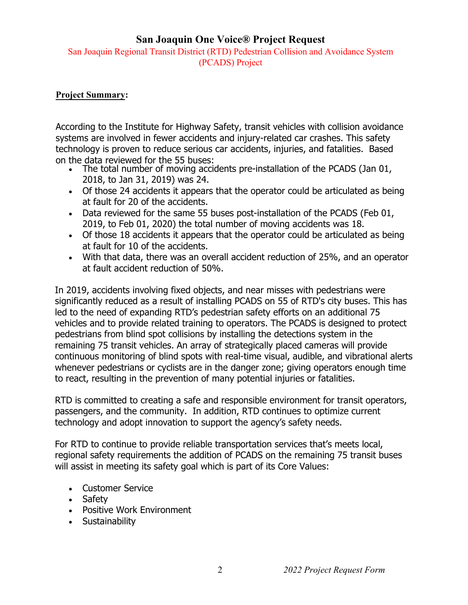## **San Joaquin One Voice® Project Request**

San Joaquin Regional Transit District (RTD) Pedestrian Collision and Avoidance System (PCADS) Project

## **Project Summary:**

According to the Institute for Highway Safety, transit vehicles with collision avoidance systems are involved in fewer accidents and injury-related car crashes. This safety technology is proven to reduce serious car accidents, injuries, and fatalities. Based on the data reviewed for the 55 buses:

- The total number of moving accidents pre-installation of the PCADS (Jan 01, 2018, to Jan 31, 2019) was 24.
- Of those 24 accidents it appears that the operator could be articulated as being at fault for 20 of the accidents.
- Data reviewed for the same 55 buses post-installation of the PCADS (Feb 01, 2019, to Feb 01, 2020) the total number of moving accidents was 18.
- Of those 18 accidents it appears that the operator could be articulated as being at fault for 10 of the accidents.
- With that data, there was an overall accident reduction of 25%, and an operator at fault accident reduction of 50%.

In 2019, accidents involving fixed objects, and near misses with pedestrians were significantly reduced as a result of installing PCADS on 55 of RTD's city buses. This has led to the need of expanding RTD's pedestrian safety efforts on an additional 75 vehicles and to provide related training to operators. The PCADS is designed to protect pedestrians from blind spot collisions by installing the detections system in the remaining 75 transit vehicles. An array of strategically placed cameras will provide continuous monitoring of blind spots with real-time visual, audible, and vibrational alerts whenever pedestrians or cyclists are in the danger zone; giving operators enough time to react, resulting in the prevention of many potential injuries or fatalities.

RTD is committed to creating a safe and responsible environment for transit operators, passengers, and the community. In addition, RTD continues to optimize current technology and adopt innovation to support the agency's safety needs.

For RTD to continue to provide reliable transportation services that's meets local, regional safety requirements the addition of PCADS on the remaining 75 transit buses will assist in meeting its safety goal which is part of its Core Values:

- Customer Service
- Safety
- Positive Work Environment
- Sustainability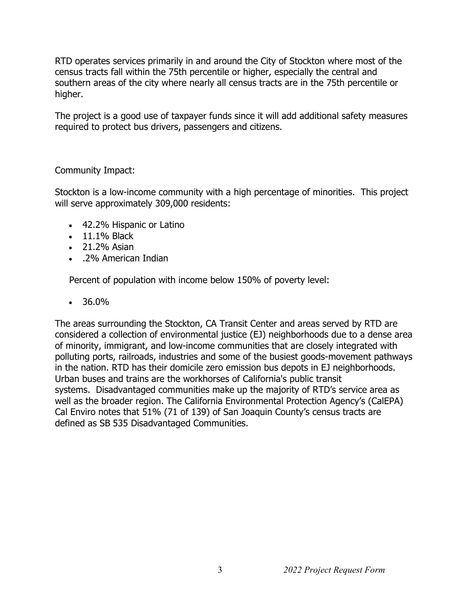RTD operates services primarily in and around the City of Stockton where most of the census tracts fall within the 75th percentile or higher, especially the central and southern areas of the city where nearly all census tracts are in the 75th percentile or higher.

The project is a good use of taxpayer funds since it will add additional safety measures required to protect bus drivers, passengers and citizens.

Community Impact:

Stockton is a low-income community with a high percentage of minorities. This project will serve approximately 309,000 residents:

- 42.2% Hispanic or Latino
- 11.1% Black
- 21.2% Asian
- .2% American Indian

Percent of population with income below 150% of poverty level:

 $• 36.0%$ 

The areas surrounding the Stockton, CA Transit Center and areas served by RTD are considered a collection of environmental justice (EJ) neighborhoods due to a dense area of minority, immigrant, and low-income communities that are closely integrated with polluting ports, railroads, industries and some of the busiest goods-movement pathways in the nation. RTD has their domicile zero emission bus depots in EJ neighborhoods. Urban buses and trains are the workhorses of California's public transit systems. Disadvantaged communities make up the majority of RTD's service area as well as the broader region. The California Environmental Protection Agency's (CalEPA) Cal Enviro notes that 51% (71 of 139) of San Joaquin County's census tracts are defined as SB 535 Disadvantaged Communities.